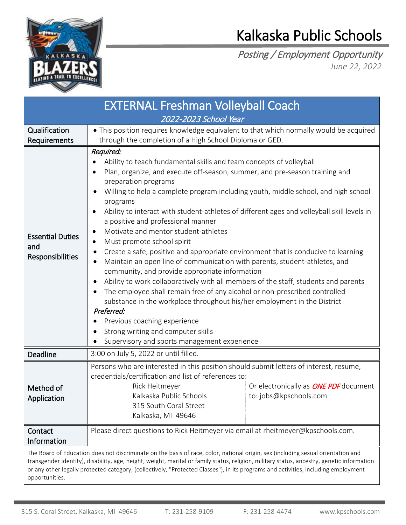

## Kalkaska Public Schools

Posting / Employment Opportunity *June 22, 2022*

| <b>EXTERNAL Freshman Volleyball Coach</b><br>2022-2023 School Year                                                                                                                                                                                                                                                                                                                                                                     |                                                                                                                                                                                                                                                                                                                                                                                                                                                                                                                                                                                                                                                                                                                                                                                                                                                                                                                                                                                                                                                                                                                    |                                                                        |
|----------------------------------------------------------------------------------------------------------------------------------------------------------------------------------------------------------------------------------------------------------------------------------------------------------------------------------------------------------------------------------------------------------------------------------------|--------------------------------------------------------------------------------------------------------------------------------------------------------------------------------------------------------------------------------------------------------------------------------------------------------------------------------------------------------------------------------------------------------------------------------------------------------------------------------------------------------------------------------------------------------------------------------------------------------------------------------------------------------------------------------------------------------------------------------------------------------------------------------------------------------------------------------------------------------------------------------------------------------------------------------------------------------------------------------------------------------------------------------------------------------------------------------------------------------------------|------------------------------------------------------------------------|
| Qualification<br>Requirements                                                                                                                                                                                                                                                                                                                                                                                                          | • This position requires knowledge equivalent to that which normally would be acquired<br>through the completion of a High School Diploma or GED.                                                                                                                                                                                                                                                                                                                                                                                                                                                                                                                                                                                                                                                                                                                                                                                                                                                                                                                                                                  |                                                                        |
| <b>Essential Duties</b><br>and<br>Responsibilities                                                                                                                                                                                                                                                                                                                                                                                     | Required:<br>Ability to teach fundamental skills and team concepts of volleyball<br>Plan, organize, and execute off-season, summer, and pre-season training and<br>preparation programs<br>Willing to help a complete program including youth, middle school, and high school<br>programs<br>Ability to interact with student-athletes of different ages and volleyball skill levels in<br>a positive and professional manner<br>Motivate and mentor student-athletes<br>Must promote school spirit<br>Create a safe, positive and appropriate environment that is conducive to learning<br>٠<br>Maintain an open line of communication with parents, student-athletes, and<br>community, and provide appropriate information<br>Ability to work collaboratively with all members of the staff, students and parents<br>The employee shall remain free of any alcohol or non-prescribed controlled<br>substance in the workplace throughout his/her employment in the District<br>Preferred:<br>Previous coaching experience<br>Strong writing and computer skills<br>Supervisory and sports management experience |                                                                        |
| Deadline                                                                                                                                                                                                                                                                                                                                                                                                                               | 3:00 on July 5, 2022 or until filled.                                                                                                                                                                                                                                                                                                                                                                                                                                                                                                                                                                                                                                                                                                                                                                                                                                                                                                                                                                                                                                                                              |                                                                        |
| Method of<br>Application                                                                                                                                                                                                                                                                                                                                                                                                               | Persons who are interested in this position should submit letters of interest, resume,<br>credentials/certification and list of references to:<br>Rick Heitmeyer<br>Kalkaska Public Schools<br>315 South Coral Street<br>Kalkaska, MI 49646                                                                                                                                                                                                                                                                                                                                                                                                                                                                                                                                                                                                                                                                                                                                                                                                                                                                        | Or electronically as <b>ONE PDF</b> document<br>to: jobs@kpschools.com |
| Contact<br>Information                                                                                                                                                                                                                                                                                                                                                                                                                 | Please direct questions to Rick Heitmeyer via email at rheitmeyer@kpschools.com.                                                                                                                                                                                                                                                                                                                                                                                                                                                                                                                                                                                                                                                                                                                                                                                                                                                                                                                                                                                                                                   |                                                                        |
| The Board of Education does not discriminate on the basis of race, color, national origin, sex (including sexual orientation and<br>transgender identity), disability, age, height, weight, marital or family status, religion, military status, ancestry, genetic information<br>or any other legally protected category, (collectively, "Protected Classes"), in its programs and activities, including employment<br>opportunities. |                                                                                                                                                                                                                                                                                                                                                                                                                                                                                                                                                                                                                                                                                                                                                                                                                                                                                                                                                                                                                                                                                                                    |                                                                        |